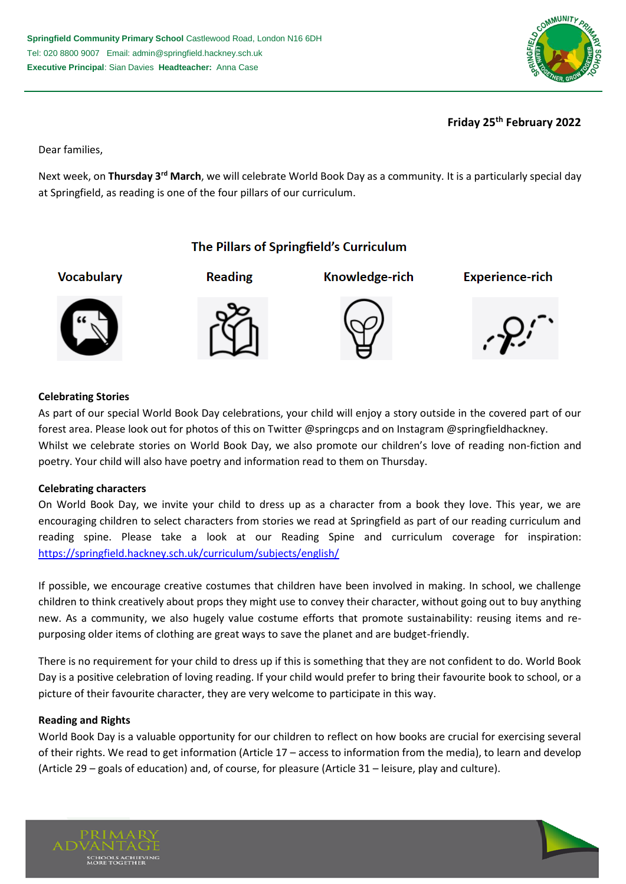

**Friday 25th February 2022**

Dear families,

Next week, on **Thursday 3rd March**, we will celebrate World Book Day as a community. It is a particularly special day at Springfield, as reading is one of the four pillars of our curriculum.

# The Pillars of Springfield's Curriculum

**Vocabulary** 



**Reading** 



Knowledge-rich





## **Celebrating Stories**

As part of our special World Book Day celebrations, your child will enjoy a story outside in the covered part of our forest area. Please look out for photos of this on Twitter @springcps and on Instagram @springfieldhackney. Whilst we celebrate stories on World Book Day, we also promote our children's love of reading non-fiction and poetry. Your child will also have poetry and information read to them on Thursday.

#### **Celebrating characters**

On World Book Day, we invite your child to dress up as a character from a book they love. This year, we are encouraging children to select characters from stories we read at Springfield as part of our reading curriculum and reading spine. Please take a look at our Reading Spine and curriculum coverage for inspiration: <https://springfield.hackney.sch.uk/curriculum/subjects/english/>

If possible, we encourage creative costumes that children have been involved in making. In school, we challenge children to think creatively about props they might use to convey their character, without going out to buy anything new. As a community, we also hugely value costume efforts that promote sustainability: reusing items and repurposing older items of clothing are great ways to save the planet and are budget-friendly.

There is no requirement for your child to dress up if this is something that they are not confident to do. World Book Day is a positive celebration of loving reading. If your child would prefer to bring their favourite book to school, or a picture of their favourite character, they are very welcome to participate in this way.

#### **Reading and Rights**

World Book Day is a valuable opportunity for our children to reflect on how books are crucial for exercising several of their rights. We read to get information (Article 17 – access to information from the media), to learn and develop (Article 29 – goals of education) and, of course, for pleasure (Article 31 – leisure, play and culture).